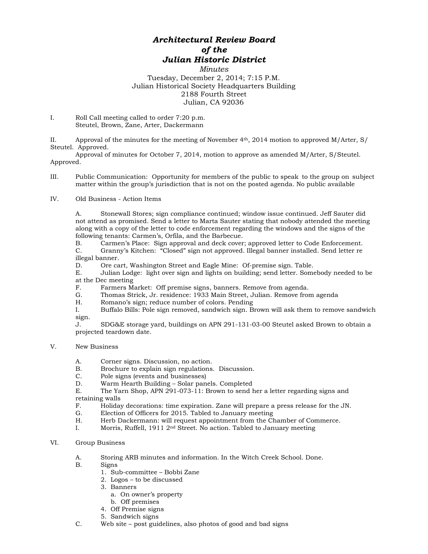## *Architectural Review Board of the Julian Historic District*

*Minutes* Tuesday, December 2, 2014; 7:15 P.M. Julian Historical Society Headquarters Building 2188 Fourth Street Julian, CA 92036

I. Roll Call meeting called to order 7:20 p.m. Steutel, Brown, Zane, Arter, Dackermann

II. Approval of the minutes for the meeting of November 4th, 2014 motion to approved M/Arter, S/ Steutel. Approved.

Approval of minutes for October 7, 2014, motion to approve as amended M/Arter, S/Steutel. Approved.

III. Public Communication: Opportunity for members of the public to speak to the group on subject matter within the group's jurisdiction that is not on the posted agenda. No public available

## IV. Old Business - Action Items

A. Stonewall Stores; sign compliance continued; window issue continued. Jeff Sauter did not attend as promised. Send a letter to Marta Sauter stating that nobody attended the meeting along with a copy of the letter to code enforcement regarding the windows and the signs of the following tenants: Carmen's, Orfila, and the Barbecue.

B. Carmen's Place: Sign approval and deck cover; approved letter to Code Enforcement. C. Granny's Kitchen: "Closed" sign not approved. Illegal banner installed. Send letter re illegal banner.

D. Ore cart, Washington Street and Eagle Mine: Of-premise sign. Table.

E. Julian Lodge: light over sign and lights on building; send letter. Somebody needed to be at the Dec meeting

- F. Farmers Market: Off premise signs, banners. Remove from agenda.
- G. Thomas Strick, Jr. residence: 1933 Main Street, Julian. Remove from agenda H. Romano's sign: reduce number of colors. Pending
- H. Romano's sign; reduce number of colors. Pending<br>I. Buffalo Bills: Pole sign removed, sandwich sign. B
- Buffalo Bills: Pole sign removed, sandwich sign. Brown will ask them to remove sandwich sign.<br>J.

SDG&E storage yard, buildings on APN 291-131-03-00 Steutel asked Brown to obtain a projected teardown date.

## V. New Business

- A. Corner signs. Discussion, no action.
- B. Brochure to explain sign regulations. Discussion.
- C. Pole signs (events and businesses)<br>D. Warm Hearth Building Solar pan
- D. Warm Hearth Building Solar panels. Completed<br>E. The Yarn Shop. APN 291-073-11: Brown to send b

The Yarn Shop, APN 291-073-11: Brown to send her a letter regarding signs and retaining walls

- F. Holiday decorations: time expiration. Zane will prepare a press release for the JN.
- G. Election of Officers for 2015. Tabled to January meeting
- H. Herb Dackermann: will request appointment from the Chamber of Commerce.
- I. Morris, Ruffell, 1911 2nd Street. No action. Tabled to January meeting

## VI. Group Business

- A. Storing ARB minutes and information. In the Witch Creek School. Done.
- Signs
	- 1. Sub-committee Bobbi Zane
	- 2. Logos to be discussed
	- 3. Banners
		- a. On owner's property
		- b. Off premises
	- 4. Off Premise signs
	- 5. Sandwich signs
- C. Web site post guidelines, also photos of good and bad signs